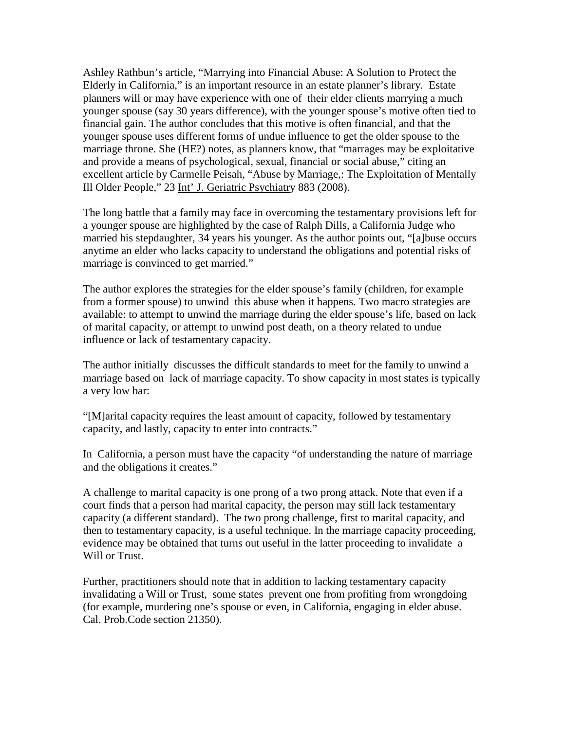Ashley Rathbun's article, "Marrying into Financial Abuse: A Solution to Protect the Elderly in California," is an important resource in an estate planner's library. Estate planners will or may have experience with one of their elder clients marrying a much younger spouse (say 30 years difference), with the younger spouse's motive often tied to financial gain. The author concludes that this motive is often financial, and that the younger spouse uses different forms of undue influence to get the older spouse to the marriage throne. She (HE?) notes, as planners know, that "marrages may be exploitative and provide a means of psychological, sexual, financial or social abuse," citing an excellent article by Carmelle Peisah, "Abuse by Marriage,: The Exploitation of Mentally Ill Older People," 23 Int' J. Geriatric Psychiatry 883 (2008).

The long battle that a family may face in overcoming the testamentary provisions left for a younger spouse are highlighted by the case of Ralph Dills, a California Judge who married his stepdaughter, 34 years his younger. As the author points out, "[a]buse occurs anytime an elder who lacks capacity to understand the obligations and potential risks of marriage is convinced to get married."

The author explores the strategies for the elder spouse's family (children, for example from a former spouse) to unwind this abuse when it happens. Two macro strategies are available: to attempt to unwind the marriage during the elder spouse's life, based on lack of marital capacity, or attempt to unwind post death, on a theory related to undue influence or lack of testamentary capacity.

The author initially discusses the difficult standards to meet for the family to unwind a marriage based on lack of marriage capacity. To show capacity in most states is typically a very low bar:

"[M]arital capacity requires the least amount of capacity, followed by testamentary capacity, and lastly, capacity to enter into contracts."

In California, a person must have the capacity "of understanding the nature of marriage and the obligations it creates."

A challenge to marital capacity is one prong of a two prong attack. Note that even if a court finds that a person had marital capacity, the person may still lack testamentary capacity (a different standard). The two prong challenge, first to marital capacity, and then to testamentary capacity, is a useful technique. In the marriage capacity proceeding, evidence may be obtained that turns out useful in the latter proceeding to invalidate a Will or Trust.

Further, practitioners should note that in addition to lacking testamentary capacity invalidating a Will or Trust, some states prevent one from profiting from wrongdoing (for example, murdering one's spouse or even, in California, engaging in elder abuse. Cal. Prob.Code section 21350).